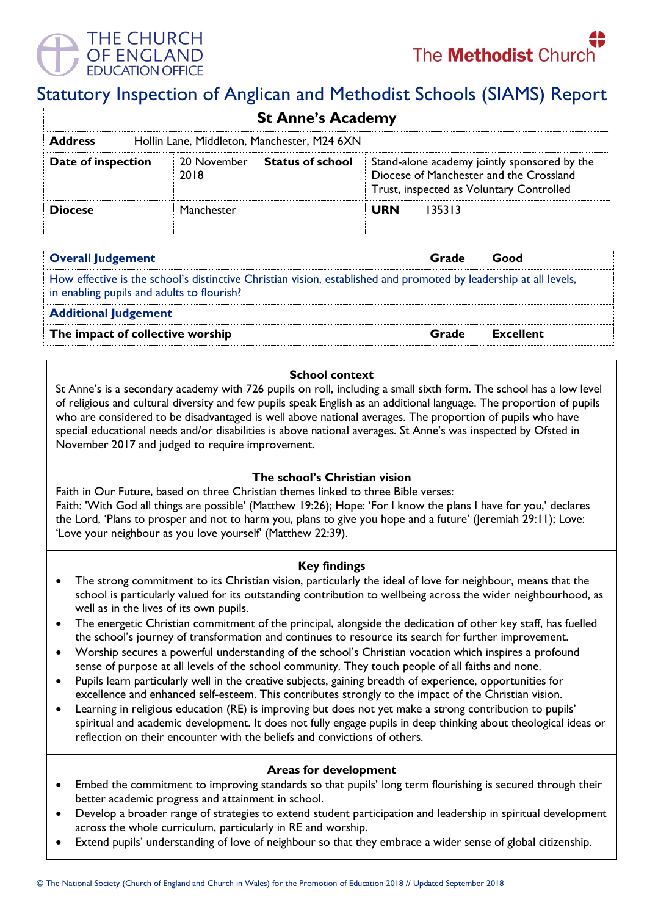# THE CHURCH OF FNGI AND



# Statutory Inspection of Anglican and Methodist Schools (SIAMS) Report

| <b>St Anne's Academy</b> |  |                                             |                         |                                                                                                                                     |        |  |  |  |
|--------------------------|--|---------------------------------------------|-------------------------|-------------------------------------------------------------------------------------------------------------------------------------|--------|--|--|--|
| <b>Address</b>           |  | Hollin Lane, Middleton, Manchester, M24 6XN |                         |                                                                                                                                     |        |  |  |  |
| Date of inspection       |  | 20 November<br>2018                         | <b>Status of school</b> | Stand-alone academy jointly sponsored by the<br>Diocese of Manchester and the Crossland<br>Trust, inspected as Voluntary Controlled |        |  |  |  |
| <b>Diocese</b>           |  | Manchester                                  |                         | <b>URN</b>                                                                                                                          | 135313 |  |  |  |

| <b>Overall Judgement</b>                                                                                                                                        | Grade | Good             |  |  |  |
|-----------------------------------------------------------------------------------------------------------------------------------------------------------------|-------|------------------|--|--|--|
| How effective is the school's distinctive Christian vision, established and promoted by leadership at all levels,<br>in enabling pupils and adults to flourish? |       |                  |  |  |  |
| <b>Additional Judgement</b>                                                                                                                                     |       |                  |  |  |  |
| The impact of collective worship                                                                                                                                |       | <b>Excellent</b> |  |  |  |

# **School context**

St Anne's is a secondary academy with 726 pupils on roll, including a small sixth form. The school has a low level of religious and cultural diversity and few pupils speak English as an additional language. The proportion of pupils who are considered to be disadvantaged is well above national averages. The proportion of pupils who have special educational needs and/or disabilities is above national averages. St Anne's was inspected by Ofsted in November 2017 and judged to require improvement.

# **The school's Christian vision**

Faith in Our Future, based on three Christian themes linked to three Bible verses: Faith: 'With God all things are possible' (Matthew 19:26); Hope: 'For I know the plans I have for you,' declares the Lord, 'Plans to prosper and not to harm you, plans to give you hope and a future' (Jeremiah 29:11); Love: 'Love your neighbour as you love yourself' (Matthew 22:39).

### **Key findings**

- The strong commitment to its Christian vision, particularly the ideal of love for neighbour, means that the school is particularly valued for its outstanding contribution to wellbeing across the wider neighbourhood, as well as in the lives of its own pupils.
- The energetic Christian commitment of the principal, alongside the dedication of other key staff, has fuelled the school's journey of transformation and continues to resource its search for further improvement.
- Worship secures a powerful understanding of the school's Christian vocation which inspires a profound sense of purpose at all levels of the school community. They touch people of all faiths and none.
- Pupils learn particularly well in the creative subjects, gaining breadth of experience, opportunities for excellence and enhanced self-esteem. This contributes strongly to the impact of the Christian vision.
- Learning in religious education (RE) is improving but does not yet make a strong contribution to pupils' spiritual and academic development. It does not fully engage pupils in deep thinking about theological ideas or reflection on their encounter with the beliefs and convictions of others.

### **Areas for development**

- Embed the commitment to improving standards so that pupils' long term flourishing is secured through their better academic progress and attainment in school.
- Develop a broader range of strategies to extend student participation and leadership in spiritual development across the whole curriculum, particularly in RE and worship.
- Extend pupils' understanding of love of neighbour so that they embrace a wider sense of global citizenship.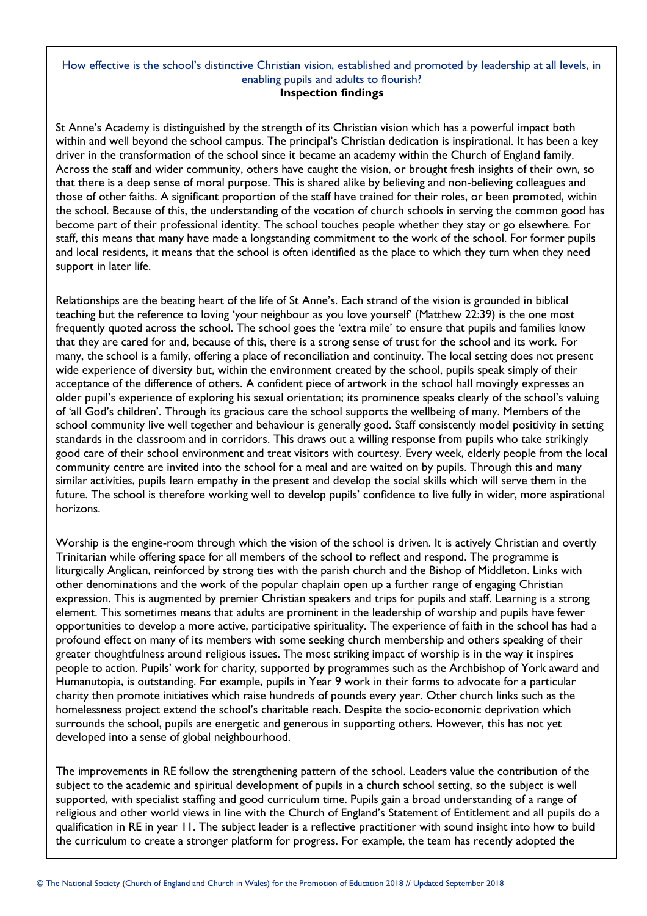#### How effective is the school's distinctive Christian vision, established and promoted by leadership at all levels, in enabling pupils and adults to flourish? **Inspection findings**

St Anne's Academy is distinguished by the strength of its Christian vision which has a powerful impact both within and well beyond the school campus. The principal's Christian dedication is inspirational. It has been a key driver in the transformation of the school since it became an academy within the Church of England family. Across the staff and wider community, others have caught the vision, or brought fresh insights of their own, so that there is a deep sense of moral purpose. This is shared alike by believing and non-believing colleagues and those of other faiths. A significant proportion of the staff have trained for their roles, or been promoted, within the school. Because of this, the understanding of the vocation of church schools in serving the common good has become part of their professional identity. The school touches people whether they stay or go elsewhere. For staff, this means that many have made a longstanding commitment to the work of the school. For former pupils and local residents, it means that the school is often identified as the place to which they turn when they need support in later life.

Relationships are the beating heart of the life of St Anne's. Each strand of the vision is grounded in biblical teaching but the reference to loving 'your neighbour as you love yourself' (Matthew 22:39) is the one most frequently quoted across the school. The school goes the 'extra mile' to ensure that pupils and families know that they are cared for and, because of this, there is a strong sense of trust for the school and its work. For many, the school is a family, offering a place of reconciliation and continuity. The local setting does not present wide experience of diversity but, within the environment created by the school, pupils speak simply of their acceptance of the difference of others. A confident piece of artwork in the school hall movingly expresses an older pupil's experience of exploring his sexual orientation; its prominence speaks clearly of the school's valuing of 'all God's children'. Through its gracious care the school supports the wellbeing of many. Members of the school community live well together and behaviour is generally good. Staff consistently model positivity in setting standards in the classroom and in corridors. This draws out a willing response from pupils who take strikingly good care of their school environment and treat visitors with courtesy. Every week, elderly people from the local community centre are invited into the school for a meal and are waited on by pupils. Through this and many similar activities, pupils learn empathy in the present and develop the social skills which will serve them in the future. The school is therefore working well to develop pupils' confidence to live fully in wider, more aspirational horizons.

Worship is the engine-room through which the vision of the school is driven. It is actively Christian and overtly Trinitarian while offering space for all members of the school to reflect and respond. The programme is liturgically Anglican, reinforced by strong ties with the parish church and the Bishop of Middleton. Links with other denominations and the work of the popular chaplain open up a further range of engaging Christian expression. This is augmented by premier Christian speakers and trips for pupils and staff. Learning is a strong element. This sometimes means that adults are prominent in the leadership of worship and pupils have fewer opportunities to develop a more active, participative spirituality. The experience of faith in the school has had a profound effect on many of its members with some seeking church membership and others speaking of their greater thoughtfulness around religious issues. The most striking impact of worship is in the way it inspires people to action. Pupils' work for charity, supported by programmes such as the Archbishop of York award and Humanutopia, is outstanding. For example, pupils in Year 9 work in their forms to advocate for a particular charity then promote initiatives which raise hundreds of pounds every year. Other church links such as the homelessness project extend the school's charitable reach. Despite the socio-economic deprivation which surrounds the school, pupils are energetic and generous in supporting others. However, this has not yet developed into a sense of global neighbourhood.

The improvements in RE follow the strengthening pattern of the school. Leaders value the contribution of the subject to the academic and spiritual development of pupils in a church school setting, so the subject is well supported, with specialist staffing and good curriculum time. Pupils gain a broad understanding of a range of religious and other world views in line with the Church of England's Statement of Entitlement and all pupils do a qualification in RE in year 11. The subject leader is a reflective practitioner with sound insight into how to build the curriculum to create a stronger platform for progress. For example, the team has recently adopted the